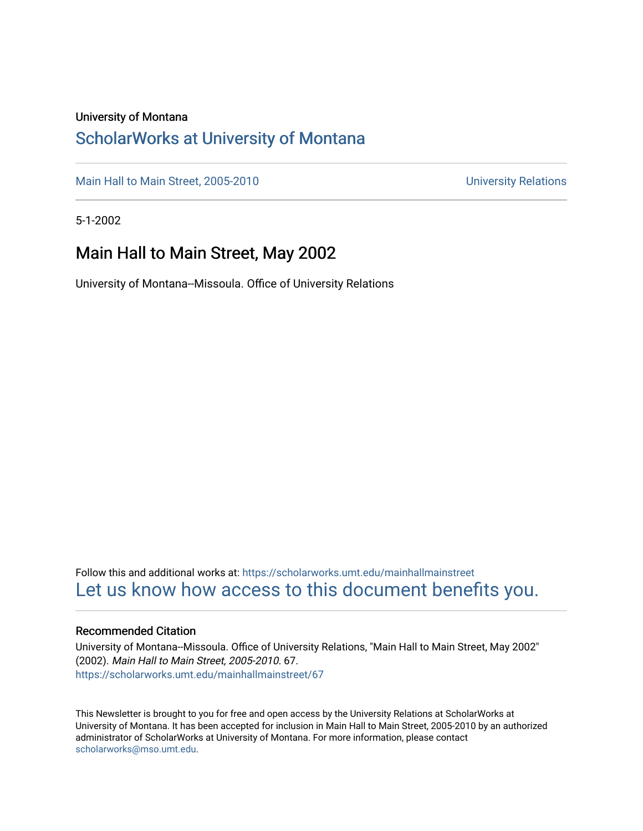#### University of Montana

### [ScholarWorks at University of Montana](https://scholarworks.umt.edu/)

[Main Hall to Main Street, 2005-2010](https://scholarworks.umt.edu/mainhallmainstreet) Main Hall to Main Street, 2005-2010

5-1-2002

### Main Hall to Main Street, May 2002

University of Montana--Missoula. Office of University Relations

Follow this and additional works at: [https://scholarworks.umt.edu/mainhallmainstreet](https://scholarworks.umt.edu/mainhallmainstreet?utm_source=scholarworks.umt.edu%2Fmainhallmainstreet%2F67&utm_medium=PDF&utm_campaign=PDFCoverPages) [Let us know how access to this document benefits you.](https://goo.gl/forms/s2rGfXOLzz71qgsB2) 

#### Recommended Citation

University of Montana--Missoula. Office of University Relations, "Main Hall to Main Street, May 2002" (2002). Main Hall to Main Street, 2005-2010. 67. [https://scholarworks.umt.edu/mainhallmainstreet/67](https://scholarworks.umt.edu/mainhallmainstreet/67?utm_source=scholarworks.umt.edu%2Fmainhallmainstreet%2F67&utm_medium=PDF&utm_campaign=PDFCoverPages) 

This Newsletter is brought to you for free and open access by the University Relations at ScholarWorks at University of Montana. It has been accepted for inclusion in Main Hall to Main Street, 2005-2010 by an authorized administrator of ScholarWorks at University of Montana. For more information, please contact [scholarworks@mso.umt.edu.](mailto:scholarworks@mso.umt.edu)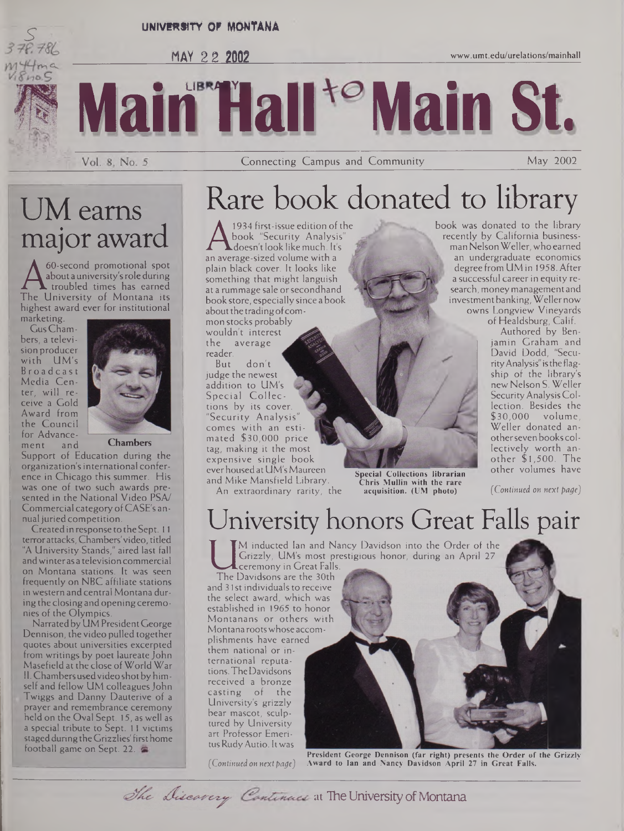

#### **UNIVERSITY QF MONTANA**





Vol. 8, No. 5

Connecting Campus and Community May 2002

## UM earns major award

A about a university's role during<br>The University of Montana its<br>higher award over for institutional 60-second promotional spot about a university'srole during . troubled times has earned highest award ever for institutional marketing.

Gus Chambers, a television producer with UM's Broadcast Media Center, will receive a Gold Award from the Council for Advance-<br>ment and ment



**Chambers**

Support of Education during the organization's international conference in Chicago this summer. His was one of two such awards presented in the National Video PSA/ Commercial category ofCASE's annual juried competition.

Created in response to theSept. <sup>11</sup> terrorattacks, Chambers'video, titled "A University Stands," aired last fall andwinteras a television commercial on Montana stations. It was seen frequently on NBC affiliate stations in western and central Montana during the closing and opening ceremonies of the Olympics.

Narratedby UM PresidentGeorge Dennison, the video pulled together quotes about universities excerpted from writings by poet laureate John Masefield at the close of World War 11. Chambersusedvideo shot byhimself and fellow UM colleagues John Twiggs and Danny Dauterive of a prayer and remembrance ceremony held on the Oval Sept. 15, as well as a special tribute to Sept. 11 victims staged during the Grizzlies' first home football game on Sept. 22.

## Rare book donated to library

A book "Security Analysis"<br>doesn't look like much. It's<br>an average-sized volume with a<br>plain black cover. It looks like 1934 first-issue edition of the book "Security Analysis"  $\blacktriangle$ doesn't look like much. It's plain black cover. It looks like something that might languish at a rummage sale orsecondhand bookstore, especially since a book about the trading of common stocks probably wouldn't interest the average reader.

don't judge the newest addition to UM's Special Collections by its cover. 'Security Analysis' comes with an estimated \$30,000 price tag, making it the most expensive single book ever housed at UM's Maureen and Mike Mansfield Library. An extraordinary rarity, the

**Chris Mullin with the rare acquisition. (UM photo)** *(Continued on next page)*

book was donated to the library recently by California businessman Nelson Weller, who earned<br>an undergraduate economics<br>degree from UM in 1958, After degree from UM in 1958. After a successful career in equity research, money management and investment banking, Weller now owns Longview Vineyards

of Healdsburg, Calif.

Authored by Benjamin Graham and David Dodd, "SecurityAnalysis" isthe flagship of the library's new Nelson S. Weller Security Analysis Collection. Besides the \$30,000 volume, Weller donated anotherseven books collectively worth another \$1,500. The other volumes have **Special Collections librarian**

## University honors Great Falls pair

M inducted Ian and Nancy Davidson into the Order of the Grizzly, UM's most prestigious honor, during an April 27 ceremony in Great Falls.

Grizzly, UM's most<br>
The Davidsons are the 30th<br>
and 31st individuals to receive The Davidsons are the 30th the select award, which was established in 1965 to honor Montanans or others with Montana rootswhose accomplishments have earned them national or international reputations.TheDavidsons

received a bronze casting of the University's grizzly bear mascot, sculptured by University art Professor Emeritus Rudy Autio. It was

*(Continued on next page)*



**President George Dennison (far right) presents the Order of the Grizzly Award to Ian and Nancy Davidson April 27 in Great Falls.**

The Discavery Continues at The University of Montana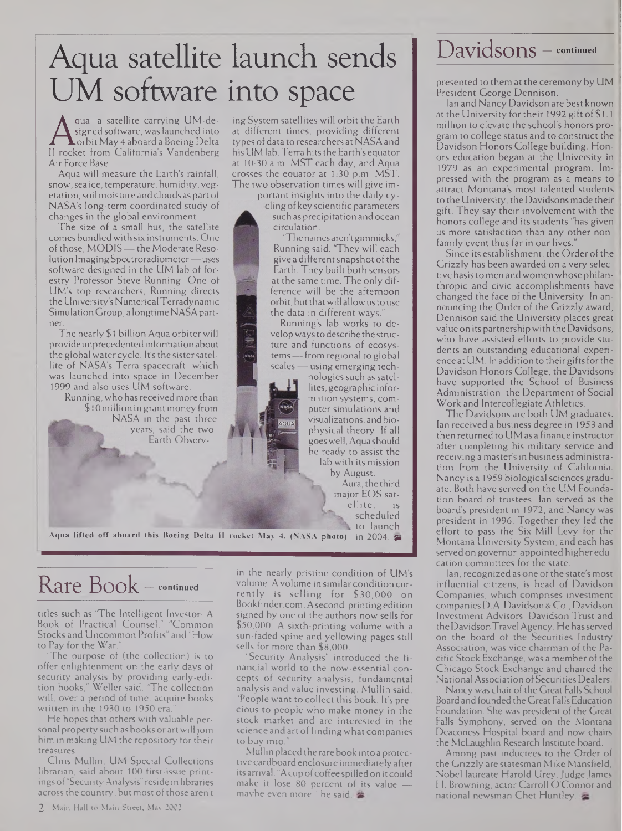# Aqua satellite launch sends UM software into space

Signed software, was launched into<br>II rocket from California's Vandenberg his<br>Air Force Base qua, a satellite carrying UM-designed software, was launched into .orbit May 4 aboard a Boeing Delta Air Force Base.

Aqua will measure the Earth's rainfall, snow,sea ice, temperature, humidity, vegetation, soil moisture and clouds as part of NASA's long-term coordinated study of changes in the global environment.

The size of a small bus, the satellite comes bundledwith six instruments. One of those, MODIS — the Moderate Resolution Imaging Spectroradiometer—uses software designed in the UM lab of forestry Professor Steve Running. One of UM's top researchers, Running directs the University'sNumericalTerradynamic Simulation Group, a longtime NASApartner.

The nearly \$ <sup>1</sup> billion Aqua orbiter will provideunprecedentedinformation about the global watercycle. It'sthe sistersatellite of NASA's Terra spacecraft, which was launched into space in December 1999 and also uses UM software.

Running,who hasreceivedmore than \$10 million in grant money from NASA in the past three years, said the two Earth Observing System satellites will orbit the Earth at different times, providing different types of data to researchers at NASAand his UM lab. Terra hits the Earth's equator at 10:30 a.m. MST each day, and Aqua crosses the equator at 1:30 p.m. MST. The two observation times will give im-

> portant insights into the daily cyclingofkeyscientific parameters such as precipitation and ocean circulation.

'The names aren'tgimmicks," Running said. 'They will each give a different snapshot of the Earth. They built both sensors at the same time. The only difference will be the afternoon orbit, but that will allow us to use the data in different ways.

Running's lab works to developwaysto describe the structure and functions of ecosystems—from regional to global scales — using emerging tech-

AQUA

nologies such as satellites, geographic information systems, computer simulations and visualizations, andbiophysical theory. If all goeswell,Aquashould be ready to assist the lab with its mission

by August. Aura, the third major EOS satellite, is scheduled to launch

**Aqua lifted off aboard this Boeing Delta II rocket May 4. (NASA photo)** in 2004. gr

### Rare Book — **continued**

titles such as 'The Intelligent Investor: A Book of Practical Counsel," "Common Stocks and Uncommon Profits" and "How to Pay for the War.

The purpose of (the collection) is to offer enlightenment on the early days of security analysis by providing early-edition books," Weller said. 'The collection will, over a period of time, acquire books written in the 1930 to 1950 era.

He hopes that others with valuable personal property such as books or art will join him in making UM the repository for their treasures.

Chris Mullin, UM Special Collections librarian, said about 100 first-issue printings of"SecurityAnalysis" reside in libraries across the country, but most of those aren't

in the nearly pristine condition of UM's volume. Avolume in similar condition currently is selling for \$30,000 on <Bookfinder.com>. Asecond-printingedition signed by one of the authors now sells for \$50,000. A sixth-printing volume with a sun-faded spine and yellowing pages still sells for more than \$8,000.

Security Analysis" introduced the financial world to the now-essential concepts of security analysis, fundamental analysis and value investing. Mullin said, "People want to collect this book. It's precious to people who make money in the stock market and are interested in the science and art of finding what companies to buy into."

Mullin placed the rare book into a protective cardboard enclosure immediatelyafter its arrival. "A cup of coffee spilled on it could make it lose 80 percent of its value maybe even more," he said.

 $Davidsons -$  continued

presented to them at the ceremonyby UM President George Dennison.

Ian and Nancy Davidson are best known at the University for their 1992 gift of \$1.1 million to elevate the school's honors program to college status and to construct the Davidson Honors College building. Honors education began at the University in 1979 as an experimental program. Impressed with the program as a means to attract Montana's most talented students to the University, theDavidsonsmade their gift. They say their involvement with the honors college and its students "has given us more satisfaction than any other nonfamily event thus far in our lives."

Since its establishment, the Order of the Grizzly has been awarded on a very selective basisto men andwomen whose philanthropic and civic accomplishments have changed the face of the University. In announcing the Order of the Grizzly award, Dennison said the University places great value on its partnershipwith the Davidsons, who have assisted efforts to provide students an outstanding educational experience at UM. In addition to their gifts for the Davidson Honors College, the Davidsons have supported the School of Business Administration, the Department of Social Work and Intercollegiate Athletics.

The Davidsons are both UM graduates. Ian received a business degree in 1953 and then returned to UM as a finance instructor after completing his military service and receiving a master's in business administration from the University of California. Nancy is a 1959 biological sciences graduate. Both have served on the UM Foundation board of trustees. Ian served as the board's president in 1972, and Nancy was president in 1996. Together they led the effort to pass the Six-Mill Levy for the Montana University System, and each has served on governor-appointed higher education committees for the state.

Ian, recognized as one of the state's most influential citizens, is head of Davidson Companies, which comprises investment companiesD.A. Davidson & Co., Davidson Investment Advisors, Davidson Trust and theDavidsonTravel Agency. He hasserved on the board of the Securities Industry Association, was vice chairman of the Pacific Stock Exchange, was a memberofthe Chicago Stock Exchange and chaired the National Association of Securities Dealers.

Nancy was chair of the Great Falls School Board and founded the Great FallsEducation Foundation. She was president of the Great Falls Symphony, served on the Montana Deaconess Hospital board and now chairs the McLaughlin Research Institute board.

Among past inductees to the Order of the Grizzly are statesman Mike Mansfield, Nobel laureate Harold Urey,Judge James H. Browning, actor Carroll O'Connor and national newsman Chet Huntley,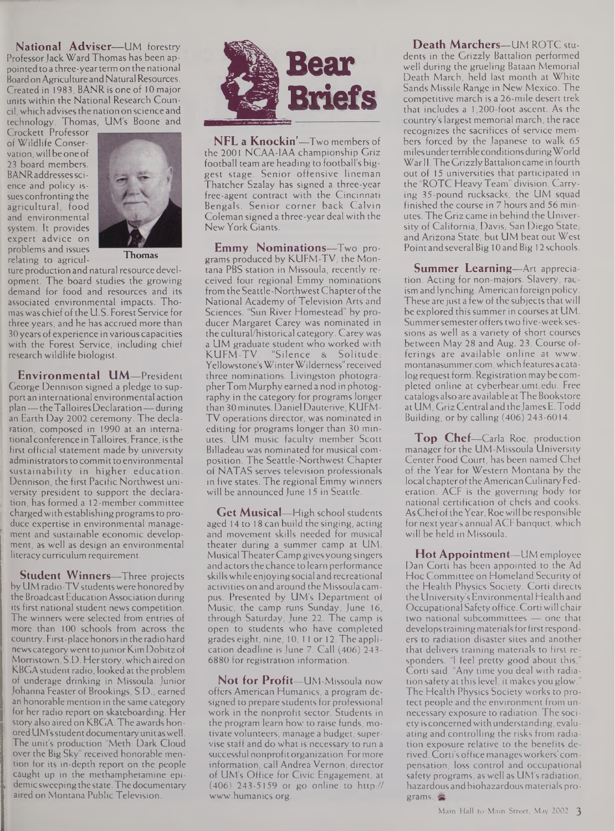**National Adviser—**UM forestry Professor Jack Ward Thomas has been appointed to a three-yearterm on the national Board on Agriculture and Natural Resources. Created in 1983, BANRisoneof 10 major units within the National Research Council, which advisesthe nation on science and technology. Thomas, UM's Boone and

Crockett Professor of Wildlife Conservation, will be one of 23 board members. BANR addresses science and policy issues confronting the agricultural, food and environmental system. It provides expert advice on problems and issues relating to agricul-



**Thomas**

ture production and natural resource development. The board studies the growing demand for food and resources and its associated environmental impacts. Thomaswas chiefofthe U.S. Forest Service for three years, and he has accrued more than 30 years of experience in various capacities with the Forest Service, including chief research wildlife biologist.

**Environmental UM—**President George Dennison signed a pledge to support an international environmental action plan—theTalloires Declaration—during an Earth Day 2002 ceremony. The declaration, composed in 1990 at an internationalconference inTalloires, France, isthe first official statement made by university administrators to commit to environmental sustainability in higher education. Dennison, the first Pacific Northwest university president to support the declaration, has formed a 12-member committee charged with establishing programs to produce expertise in environmental management and sustainable economic development, as well as design an environmental literacy curriculum requirement.

**Student Winners—**Three projects by UM radio-TV students were honored by the Broadcast Education Association during its first national student news competition. The winners were selected from entries of more than 100 schools from across the country. First-place honorsin the radio hard news category went to junior Kim Dobitz of Morristown, S.D. Herstory, which aired on KBGA student radio, looked at the problem of underage drinking in Missoula. Junior Johanna Feaster of Brookings, S.D., earned an honorable mention in the same category for her radio report on skateboarding. Her story also aired on KBGA. The awards honored UM's student documentary unit as well. The unit's production "Meth: Dark Cloud over the Big Sky" received honorable mention for its in-depth report on the people caught up in the methamphetamine epidemic sweeping the state.The documentary aired on Montana Public Television.



**NFL a Knockin''—**Two members of the 2001 NCAA-1AA championship Griz football team are heading to football's biggest stage. Senior offensive lineman Thatcher Szalay has signed a three-year free-agent contract with the Cincinnati Bengals. Senior corner back Calvin Coleman signed a three-year deal with the New York Giants.

**Emmy Nominations—**Two programs produced by KUFM-TV, the Montana PBS station in Missoula, recently received four regional Emmy nominations from the Seattle-NorthwestChapterofthe National Academy of Television Arts and Sciences. "Sun River Homestead" by producer Margaret Carey was nominated in the cultural/historical category. Carey was a UM graduate student who worked with<br>KUFM-TV. "Silence & Solitude: "Silence & Solitude: Yellowstone'sWinterWilderness"received three nominations. Livingston photographerTom Murphy earned a nod in photography in the category for programs longer than 30 minutes. Daniel Dauterive, KUFM-TV operations director, was nominated in editing for programs longer than 30 minutes. UM music faculty member Scott Billadeau was nominated for musical composition. The Seattle-Northwest Chapter of NATAS serves television professionals in five states. The regional Emmy winners will be announced June 15 in Seattle.

**Get Musical—**High school students aged 14 to 18 can build the singing, acting and movement skills needed for musical theater during a summer camp at UM. Musical TheaterCamp givesyoungsingers and actors the chance to learn performance skills while enjoying social and recreational activities on and around the Missoula campus. Presented by UM's Department of Music, the camp runs Sunday, June 16, through Saturday, June 22. The camp is open to students who have completed grades eight, nine, 10, <sup>11</sup> or 12. The application deadline is June 7. Call (406) 243- 6880 for registration information.

**Not for Profit—**UM-Missoula now offers American Humanics, a program designed to prepare students for professional work in the nonprofit sector. Students in the program learn how to raise funds, motivate volunteers, manage a budget, supervise staff and do what is necessary to run a successful nonprofitorganization. Formore information, call Andrea Vernon, director of UM's Office for Civic Engagement, at (406) 243-5159 or go online to http:// [www.humanics.org](http://www.humanics.org).

**Death Marchers—**UM ROTC students in the Grizzly Battalion performed well during the grueling Bataan Memorial Death March, held last month at White Sands Missile Range in New Mexico. The competitive march is a 26-mile desert trek that includes a 1,200-foot ascent. As the country's largest memorial march, the race recognizes the sacrifices of service members forced by the Japanese to walk 65 milesunderterrible conditions duringWorld War II. The Grizzly Battalion came in fourth out of 15 universities that participated in the "ROTC Heavy Team" division. Carrying 35-pound rucksacks, the UM squad finished the course in 7 hours and 56 minutes. The Griz came in behind the University of California, Davis; San Diego State; and Arizona State, but UM beat out West Point and several Big 10 and Big 12 schools.

**Summer Learning—**Art appreciation. Acting for non-majors. Slavery, racism and lynching. American foreign policy. These are just a few of the subjects that will be explored this summer in courses at UM. Summersemester offers two five-week sessions as well as a variety of short courses between May 28 and Aug. 23. Course offerings are available online at www. <montanasummer.com>, which featuresa catalog request form. Registration may be completed online at <cyberbear.umt.edu>. Free catalogs also are available atThe Bookstore at UM, Griz Central and theJames E.Todd Building, or by calling (406) 243-6014.

**Top Chef—**Carla Roe, production manager for the UM-Missoula University Center Food Court, has been named Chef of the Year for Western Montana by the local chapteroftheAmerican Culinary Federation. ACF is the governing body for national certification of chefs and cooks. As Chef of the Year, Roe will be responsible for next year's annual ACF banquet, which will be held in Missoula.

**Hot Appointment—**UM employee Dan Corti has been appointed to the Ad Hoc Committee on Homeland Security of the Health Physics Society. Corti directs the University's Environmental Health and Occupational Safety office. Corti will chair two national subcommittees — one that develops training materials for first responders to radiation disaster sites and another that delivers training materials to first responders. "I feel pretty good about this, Corti said. "Any time you deal with radiation safety at this level, it makes you glow. The Health Physics Society works to protect people and the environment from unnecessary exposure to radiation. The society is concernedwith understanding, evaluating and controlling the risks from radiation exposure relative to the benefits derived. Corti's office managesworkers'compensation, loss control and occupational safety programs, as well as UM's radiation, hazardous and biohazardous materials programs.